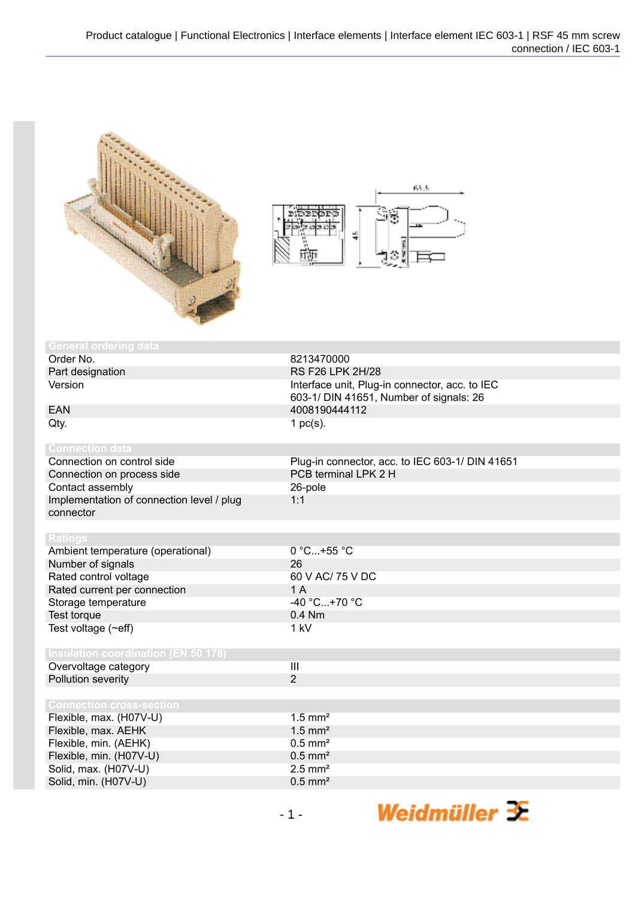



| 8213470000                                      |
|-------------------------------------------------|
| RS F26 LPK 2H/28                                |
| Interface unit, Plug-in connector, acc. to IEC  |
| 603-1/ DIN 41651, Number of signals: 26         |
| 4008190444112                                   |
| 1 $pc(s)$ .                                     |
|                                                 |
|                                                 |
| Plug-in connector, acc. to IEC 603-1/ DIN 41651 |
| PCB terminal LPK 2 H                            |
| 26-pole                                         |
| 1:1                                             |
|                                                 |
|                                                 |
|                                                 |
| 0 °C+55 °C                                      |
| 26                                              |
| 60 V AC/ 75 V DC                                |
| 1A                                              |
| $-40 °C+70 °C$                                  |
| $0.4$ Nm                                        |
| 1 kV                                            |
|                                                 |
|                                                 |
| III                                             |
| $\overline{2}$                                  |
|                                                 |
|                                                 |
| $1.5$ mm <sup>2</sup>                           |
| $1.5$ mm <sup>2</sup>                           |
| $0.5$ mm <sup>2</sup>                           |
| $0.5$ mm <sup>2</sup>                           |
| $2.5$ mm <sup>2</sup>                           |
| $0.5$ mm <sup>2</sup>                           |
|                                                 |

Weidmüller <